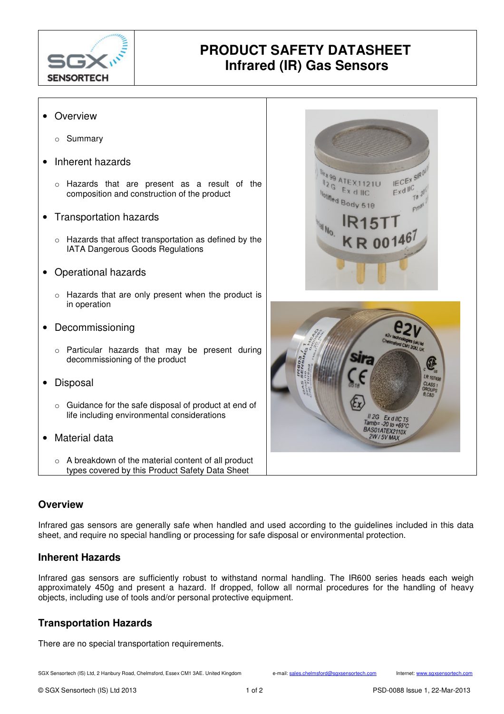

# **PRODUCT SAFETY DATASHEET Infrared (IR) Gas Sensors**

### • Overview

- o Summary
- Inherent hazards
	- o Hazards that are present as a result of the composition and construction of the product
- Transportation hazards
	- o Hazards that affect transportation as defined by the IATA Dangerous Goods Regulations
- Operational hazards
	- o Hazards that are only present when the product is in operation
- Decommissioning
	- o Particular hazards that may be present during decommissioning of the product
- Disposal
	- o Guidance for the safe disposal of product at end of life including environmental considerations
- Material data
	- o A breakdown of the material content of all product types covered by this Product Safety Data Sheet

## **Overview**

Infrared gas sensors are generally safe when handled and used according to the guidelines included in this data sheet, and require no special handling or processing for safe disposal or environmental protection.

### **Inherent Hazards**

Infrared gas sensors are sufficiently robust to withstand normal handling. The IR600 series heads each weigh approximately 450g and present a hazard. If dropped, follow all normal procedures for the handling of heavy objects, including use of tools and/or personal protective equipment.

# **Transportation Hazards**

There are no special transportation requirements.

SGX Sensortech (IS) Ltd, 2 Hanbury Road, Chelmsford, Essex CM1 3AE. United Kingdom e-mail: sales.chelmsford@sgxsensortech.com Internet: www.sgxsensortech.com

IECEX SIRO

 $70<sup>2</sup>$  $cm<sup>3</sup>$ 

 $Exd$   $IC$ 

 $-20$  to  $+65^{\circ}$ BAS01ATEX2110X  $2W/5V$ MA)

1899 ATEX1121U Volified =

Motified Body 518